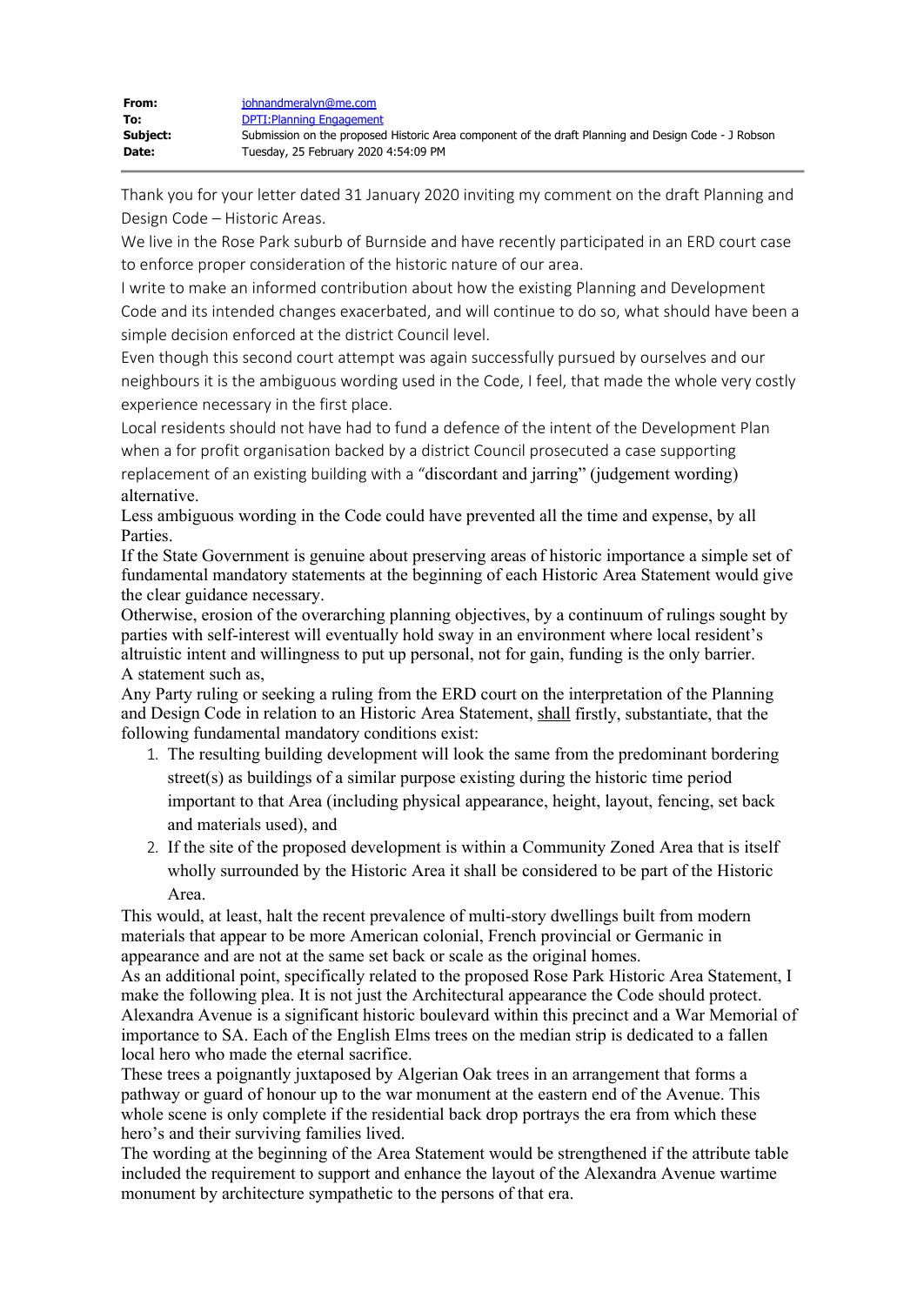Thank you for your letter dated 31 January 2020 inviting my comment on the draft Planning and Design Code – Historic Areas.

We live in the Rose Park suburb of Burnside and have recently participated in an ERD court case to enforce proper consideration of the historic nature of our area.

I write to make an informed contribution about how the existing Planning and Development Code and its intended changes exacerbated, and will continue to do so, what should have been a simple decision enforced at the district Council level.

Even though this second court attempt was again successfully pursued by ourselves and our neighbours it is the ambiguous wording used in the Code, I feel, that made the whole very costly experience necessary in the first place.

Local residents should not have had to fund a defence of the intent of the Development Plan when a for profit organisation backed by a district Council prosecuted a case supporting replacement of an existing building with a "discordant and jarring" (judgement wording) alternative.

Less ambiguous wording in the Code could have prevented all the time and expense, by all Parties.

If the State Government is genuine about preserving areas of historic importance a simple set of fundamental mandatory statements at the beginning of each Historic Area Statement would give the clear guidance necessary.

Otherwise, erosion of the overarching planning objectives, by a continuum of rulings sought by parties with self-interest will eventually hold sway in an environment where local resident's altruistic intent and willingness to put up personal, not for gain, funding is the only barrier. A statement such as,

Any Party ruling or seeking a ruling from the ERD court on the interpretation of the Planning and Design Code in relation to an Historic Area Statement, shall firstly, substantiate, that the following fundamental mandatory conditions exist:

- 1. The resulting building development will look the same from the predominant bordering street(s) as buildings of a similar purpose existing during the historic time period important to that Area (including physical appearance, height, layout, fencing, set back and materials used), and
- 2. If the site of the proposed development is within a Community Zoned Area that is itself wholly surrounded by the Historic Area it shall be considered to be part of the Historic Area.

This would, at least, halt the recent prevalence of multi-story dwellings built from modern materials that appear to be more American colonial, French provincial or Germanic in appearance and are not at the same set back or scale as the original homes.

As an additional point, specifically related to the proposed Rose Park Historic Area Statement, I make the following plea. It is not just the Architectural appearance the Code should protect. Alexandra Avenue is a significant historic boulevard within this precinct and a War Memorial of importance to SA. Each of the English Elms trees on the median strip is dedicated to a fallen local hero who made the eternal sacrifice.

These trees a poignantly juxtaposed by Algerian Oak trees in an arrangement that forms a pathway or guard of honour up to the war monument at the eastern end of the Avenue. This whole scene is only complete if the residential back drop portrays the era from which these hero's and their surviving families lived.

The wording at the beginning of the Area Statement would be strengthened if the attribute table included the requirement to support and enhance the layout of the Alexandra Avenue wartime monument by architecture sympathetic to the persons of that era.